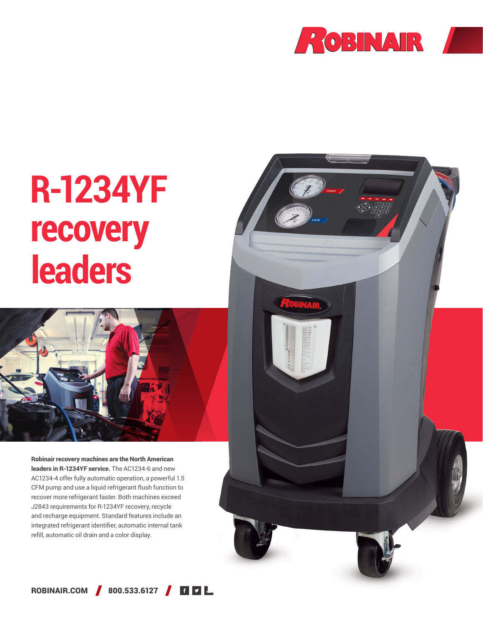

## **R-1234YF recovery leaders**



Robinair recovery machines are the North American leaders in R-1234YF service. The AC1234-6 and new AC1234-4 offer fully automatic operation, a powerful 1.5 CFM pump and use a liquid refrigerant flush function to recover more refrigerant faster. Both machines exceed J2843 requirements for R-1234YF recovery, recycle and recharge equipment. Standard features include an integrated refrigerant identifier, automatic internal tank refill, automatic oil drain and a color display.



ROBINAIR.COM 800.533.6127 **60**